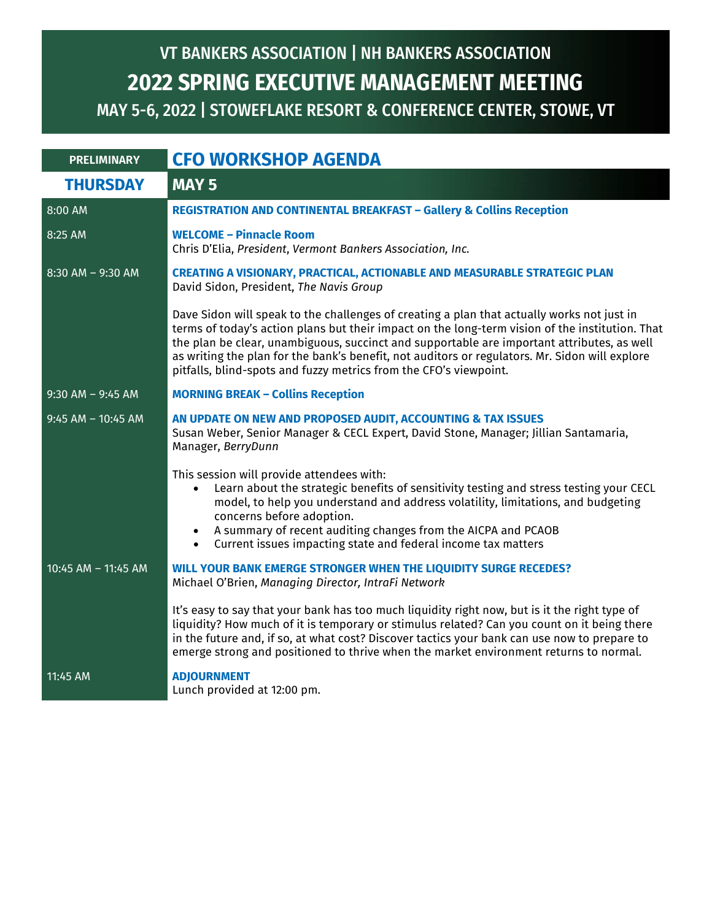## MAY 5-6, 2022 | STOWEFLAKE RESORT & CONFERENCE CENTER, STOWE, VT **2022 SPRING EXECUTIVE MANAGEMENT MEETING** VT BANKERS ASSOCIATION | NH BANKERS ASSOCIATION

| <b>PRELIMINARY</b>    | <b>CFO WORKSHOP AGENDA</b>                                                                                                                                                                                                                                                                                                                                                                                                                                         |
|-----------------------|--------------------------------------------------------------------------------------------------------------------------------------------------------------------------------------------------------------------------------------------------------------------------------------------------------------------------------------------------------------------------------------------------------------------------------------------------------------------|
| <b>THURSDAY</b>       | <b>MAY 5</b>                                                                                                                                                                                                                                                                                                                                                                                                                                                       |
| 8:00 AM               | <b>REGISTRATION AND CONTINENTAL BREAKFAST - Gallery &amp; Collins Reception</b>                                                                                                                                                                                                                                                                                                                                                                                    |
| 8:25 AM               | <b>WELCOME - Pinnacle Room</b><br>Chris D'Elia, President, Vermont Bankers Association, Inc.                                                                                                                                                                                                                                                                                                                                                                       |
| 8:30 AM - 9:30 AM     | <b>CREATING A VISIONARY, PRACTICAL, ACTIONABLE AND MEASURABLE STRATEGIC PLAN</b><br>David Sidon, President, The Navis Group                                                                                                                                                                                                                                                                                                                                        |
|                       | Dave Sidon will speak to the challenges of creating a plan that actually works not just in<br>terms of today's action plans but their impact on the long-term vision of the institution. That<br>the plan be clear, unambiguous, succinct and supportable are important attributes, as well<br>as writing the plan for the bank's benefit, not auditors or regulators. Mr. Sidon will explore<br>pitfalls, blind-spots and fuzzy metrics from the CFO's viewpoint. |
| $9:30$ AM - $9:45$ AM | <b>MORNING BREAK - Collins Reception</b>                                                                                                                                                                                                                                                                                                                                                                                                                           |
| $9:45$ AM - 10:45 AM  | AN UPDATE ON NEW AND PROPOSED AUDIT, ACCOUNTING & TAX ISSUES<br>Susan Weber, Senior Manager & CECL Expert, David Stone, Manager; Jillian Santamaria,<br>Manager, BerryDunn                                                                                                                                                                                                                                                                                         |
|                       | This session will provide attendees with:<br>Learn about the strategic benefits of sensitivity testing and stress testing your CECL<br>$\bullet$<br>model, to help you understand and address volatility, limitations, and budgeting<br>concerns before adoption.<br>A summary of recent auditing changes from the AICPA and PCAOB<br>Current issues impacting state and federal income tax matters<br>$\bullet$                                                   |
| 10:45 AM - 11:45 AM   | <b>WILL YOUR BANK EMERGE STRONGER WHEN THE LIQUIDITY SURGE RECEDES?</b><br>Michael O'Brien, Managing Director, IntraFi Network                                                                                                                                                                                                                                                                                                                                     |
|                       | It's easy to say that your bank has too much liquidity right now, but is it the right type of<br>liquidity? How much of it is temporary or stimulus related? Can you count on it being there<br>in the future and, if so, at what cost? Discover tactics your bank can use now to prepare to<br>emerge strong and positioned to thrive when the market environment returns to normal.                                                                              |
| 11:45 AM              | <b>ADJOURNMENT</b><br>Lunch provided at 12:00 pm.                                                                                                                                                                                                                                                                                                                                                                                                                  |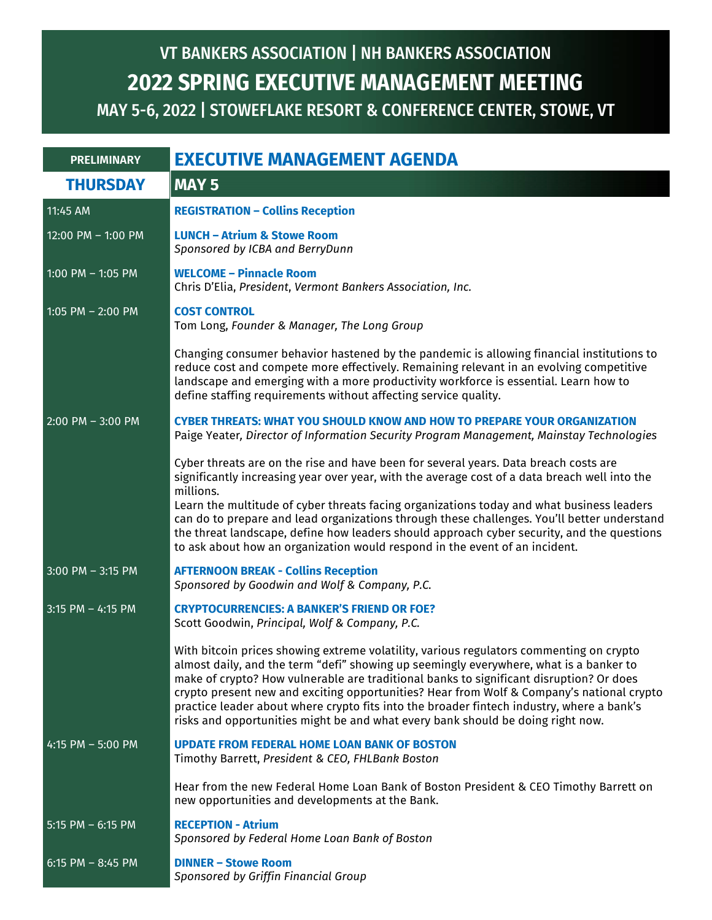## MAY 5-6, 2022 | STOWEFLAKE RESORT & CONFERENCE CENTER, STOWE, VT **2022 SPRING EXECUTIVE MANAGEMENT MEETING** VT BANKERS ASSOCIATION | NH BANKERS ASSOCIATION

| <b>PRELIMINARY</b>   | <b>EXECUTIVE MANAGEMENT AGENDA</b>                                                                                                                                                                                                                                                                                                                                                                                                                                                                                                                                          |
|----------------------|-----------------------------------------------------------------------------------------------------------------------------------------------------------------------------------------------------------------------------------------------------------------------------------------------------------------------------------------------------------------------------------------------------------------------------------------------------------------------------------------------------------------------------------------------------------------------------|
| <b>THURSDAY</b>      | <b>MAY 5</b>                                                                                                                                                                                                                                                                                                                                                                                                                                                                                                                                                                |
| 11:45 AM             | <b>REGISTRATION - Collins Reception</b>                                                                                                                                                                                                                                                                                                                                                                                                                                                                                                                                     |
| 12:00 PM - 1:00 PM   | <b>LUNCH - Atrium &amp; Stowe Room</b><br>Sponsored by ICBA and BerryDunn                                                                                                                                                                                                                                                                                                                                                                                                                                                                                                   |
| 1:00 PM $-$ 1:05 PM  | <b>WELCOME - Pinnacle Room</b><br>Chris D'Elia, President, Vermont Bankers Association, Inc.                                                                                                                                                                                                                                                                                                                                                                                                                                                                                |
| 1:05 PM $-$ 2:00 PM  | <b>COST CONTROL</b><br>Tom Long, Founder & Manager, The Long Group                                                                                                                                                                                                                                                                                                                                                                                                                                                                                                          |
|                      | Changing consumer behavior hastened by the pandemic is allowing financial institutions to<br>reduce cost and compete more effectively. Remaining relevant in an evolving competitive<br>landscape and emerging with a more productivity workforce is essential. Learn how to<br>define staffing requirements without affecting service quality.                                                                                                                                                                                                                             |
| $2:00$ PM $-3:00$ PM | <b>CYBER THREATS: WHAT YOU SHOULD KNOW AND HOW TO PREPARE YOUR ORGANIZATION</b><br>Paige Yeater, Director of Information Security Program Management, Mainstay Technologies                                                                                                                                                                                                                                                                                                                                                                                                 |
|                      | Cyber threats are on the rise and have been for several years. Data breach costs are<br>significantly increasing year over year, with the average cost of a data breach well into the<br>millions.<br>Learn the multitude of cyber threats facing organizations today and what business leaders<br>can do to prepare and lead organizations through these challenges. You'll better understand<br>the threat landscape, define how leaders should approach cyber security, and the questions<br>to ask about how an organization would respond in the event of an incident. |
| $3:00$ PM $-3:15$ PM | <b>AFTERNOON BREAK - Collins Reception</b><br>Sponsored by Goodwin and Wolf & Company, P.C.                                                                                                                                                                                                                                                                                                                                                                                                                                                                                 |
| $3:15$ PM - 4:15 PM  | <b>CRYPTOCURRENCIES: A BANKER'S FRIEND OR FOE?</b><br>Scott Goodwin, Principal, Wolf & Company, P.C.                                                                                                                                                                                                                                                                                                                                                                                                                                                                        |
|                      | With bitcoin prices showing extreme volatility, various regulators commenting on crypto<br>almost daily, and the term "defi" showing up seemingly everywhere, what is a banker to<br>make of crypto? How vulnerable are traditional banks to significant disruption? Or does<br>crypto present new and exciting opportunities? Hear from Wolf & Company's national crypto<br>practice leader about where crypto fits into the broader fintech industry, where a bank's<br>risks and opportunities might be and what every bank should be doing right now.                   |
| 4:15 PM $-$ 5:00 PM  | <b>UPDATE FROM FEDERAL HOME LOAN BANK OF BOSTON</b><br>Timothy Barrett, President & CEO, FHLBank Boston                                                                                                                                                                                                                                                                                                                                                                                                                                                                     |
|                      | Hear from the new Federal Home Loan Bank of Boston President & CEO Timothy Barrett on<br>new opportunities and developments at the Bank.                                                                                                                                                                                                                                                                                                                                                                                                                                    |
| $5:15$ PM $-6:15$ PM | <b>RECEPTION - Atrium</b><br>Sponsored by Federal Home Loan Bank of Boston                                                                                                                                                                                                                                                                                                                                                                                                                                                                                                  |
| 6:15 PM $-$ 8:45 PM  | <b>DINNER - Stowe Room</b><br>Sponsored by Griffin Financial Group                                                                                                                                                                                                                                                                                                                                                                                                                                                                                                          |